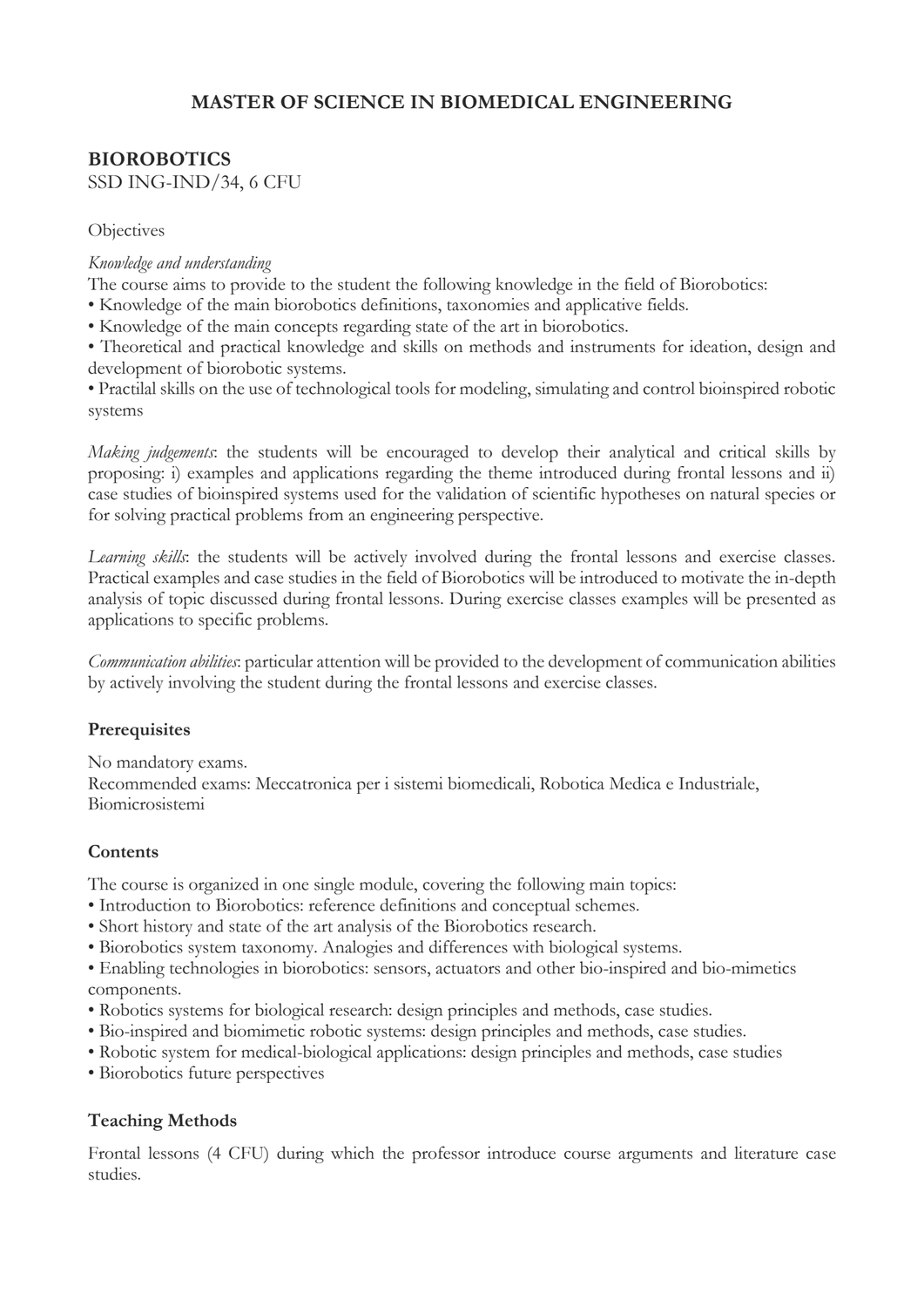# **MASTER OF SCIENCE IN BIOMEDICAL ENGINEERING**

# **BIOROBOTICS** SSD ING-IND/34, 6 CFU

#### **Objectives**

#### *Knowledge and understanding*

The course aims to provide to the student the following knowledge in the field of Biorobotics:

- Knowledge of the main biorobotics definitions, taxonomies and applicative fields.
- Knowledge of the main concepts regarding state of the art in biorobotics.

• Theoretical and practical knowledge and skills on methods and instruments for ideation, design and development of biorobotic systems.

• Practilal skills on the use of technological tools for modeling, simulating and control bioinspired robotic systems

*Making judgements*: the students will be encouraged to develop their analytical and critical skills by proposing: i) examples and applications regarding the theme introduced during frontal lessons and ii) case studies of bioinspired systems used for the validation of scientific hypotheses on natural species or for solving practical problems from an engineering perspective.

*Learning skills*: the students will be actively involved during the frontal lessons and exercise classes. Practical examples and case studies in the field of Biorobotics will be introduced to motivate the in-depth analysis of topic discussed during frontal lessons. During exercise classes examples will be presented as applications to specific problems.

*Communication abilities*: particular attention will be provided to the development of communication abilities by actively involving the student during the frontal lessons and exercise classes.

## **Prerequisites**

No mandatory exams.

Recommended exams: Meccatronica per i sistemi biomedicali, Robotica Medica e Industriale, Biomicrosistemi

## **Contents**

The course is organized in one single module, covering the following main topics:

- Introduction to Biorobotics: reference definitions and conceptual schemes.
- Short history and state of the art analysis of the Biorobotics research.
- Biorobotics system taxonomy. Analogies and differences with biological systems.

• Enabling technologies in biorobotics: sensors, actuators and other bio-inspired and bio-mimetics components.

- Robotics systems for biological research: design principles and methods, case studies.
- Bio-inspired and biomimetic robotic systems: design principles and methods, case studies.
- Robotic system for medical-biological applications: design principles and methods, case studies
- Biorobotics future perspectives

## **Teaching Methods**

Frontal lessons (4 CFU) during which the professor introduce course arguments and literature case studies.